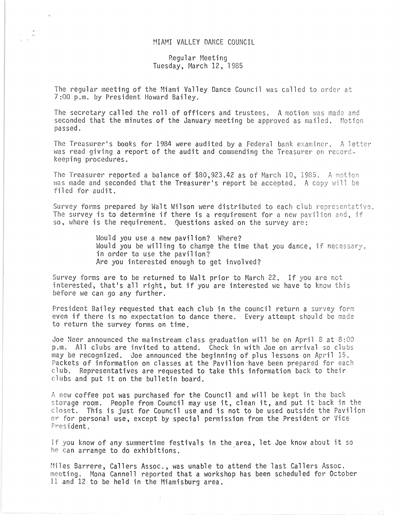## MIAMI VALLEY DANCE COUNCIL

## Regular Meeting Tuesday, March 12, 1985

The regular meeting of the Miami Valley Dance Council was called to order at 7:00 p.m. by President Howard Bailey.

The secretary called the roll of officers and trustees. A motion was made and seconded that the minutes of the January meeting be approved as mailed. Motion passed. .

The Treasurer's books for 1984 were audited by a Federal bank examiner. A letter was read giving a report of the audit and commending the Treasurer on recordkeeping procedures.

The Treasurer reported a balance of \$80,923.42 as of March 10, 1985. A motion was made and seconded that the Treasurer's report be accepted. A copy will be filed for audit.

Survey forms prepared by Walt Wilson were distributed to each club representative. The survey is to determine if there is a requirement for a new pavilion and, if so, where is the requirement. Questions asked on the survey are:

> Would you use a new pavilion? Where? Would you be willing to change the time that you dance, if necessary, in order to use the pavilion? Are you interested enough to get involved?

Survey forms are to be returned to Walt prior to March 22, If you are not interested, that's all right, but if you are interested we have to know this before we can go any further.

President Bailey requested that each club in the council return a survey form even if there is no expectation to dance there. Every attempt should be made to return the survey forms on time,

Joe Neer announced the mainstream class graduation will be on April 8 at 8:00 p.m. All clubs are invited to attend. Check in with Joe on arrival so clubs may be recognized. Joe announced the beginning of plus lessons on April 15. Packets of information on classes at the Pavilion 'have been prepared for each club. Representatives are requested to take this information back to their clubs and put it on the bulletin board.

A new coffee pot was purchased for the Council and will be kept in the back storage room. People from Council may use it, clean it, and put it back in the closet. This is just for Council use and is not to be used outside the Pavilion or for personal use, except by special permission from the President or Vice President.

If you know of any summertime festivals in the area, let Joe know about it so he can arrange to do exhibitions. .

Miles Barrere, Callers Assoc., was unable to attend the last Callers Assoc. meeting. Mona Cannell reported that a workshop has been scheduled for October 11 and 12 to be held in the Miamisburg area.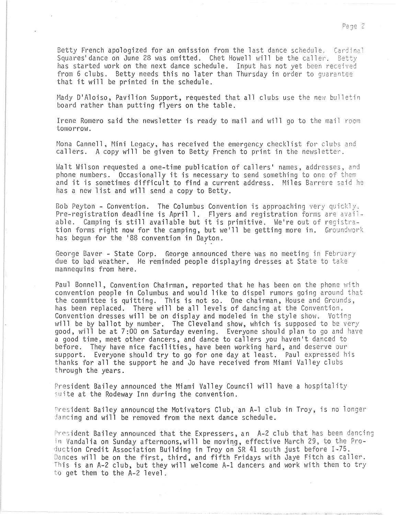Betty French apologized for an omission from the last dance schedule. Cardinal Squares' dance on June 28 was omitted. Chet Howell will be the caller. Betty has started work on the next dance schedule. Input has not yet been received from 6 clubs. Betty needs this no later than Thursday in order to guarantee that it will be printed in the schedule.

Mady D'Aloiso, Pavilion Support, requested that all clubs use the new bulletin board rather than putting flyers on the table.

Irene Romero said the newsletter is ready to mail and will go to the mail room tomorrow.

Mona Cannell. Mini Legacy, has received the emergency checklist for clubs and callers. A copy will be given to Betty French to print in the newsletter.

Walt Wilson requested a one-time publication of callers' names, addresses, and phone numbers. Occasionally it is necessary to send something to one of them and it is sometimes difficult to find a current address. Miles Barrere said he has a new list and will send a copy to Betty.

Bob Peyton - Convention. The Columbus Convention is approaching very quickly. Pre-registration deadline is April 1. Flyers and registration forms are available. Camping is still available but it is primitive. Welre out of registration forms right now for the camping, but we'll be getting more in. Groundwork has begun for the 188 convention in Dayton.

George Baver - State Corp. George announced there was no meeting in February due to bad weather. He reminded people displaying dresses at State to take mannequins from here.

Paul Bonnell, Convention Chairman, reported that he has been on the phone with convention people in Columbus and would like to dispel rumors going around that the committee is quitting. This is not so. One chairman, House and Grounds, has been replaced. There will be all levels of dancing at the Convention. Convention dresses will be on display and modeled in the style show. Voting will be by ballot by number. The Cleveland show, which is supposed to be very good, will be at 7:00 on Saturday evening. Everyone should plan to go and have a good time, meet other dancers, and dance to callers you haven't danced to before. They have nice facilities, have been working hard, and deserve our support. Everyone should try to go for one day at least. Paul expressed his thanks for all the support he and Jo have received from Miami Valley clubs through the years.

President Bailey announced the Miami Valley Council will have a hospitality suite at the Rodeway Inn during the convention.

President Bailey announced the Motivators Club, an A-1 club in Troy, is no longer dancing and will be removed from the next dance schedule.

President Bailey announced that the Expressers, an A-2 club that has been dancing in Vandalia on Sunday afternoons, will be moving, effective March 29, to the Production Credit Association Building in Troy on SR 41 south just before 1-75. Dances will be on the first, third, and fifth Fridays with Jaye Fitch as caller. This is an A-2 club, but they will welcome A-I dancers and work with them to try to get them to the A-2 level.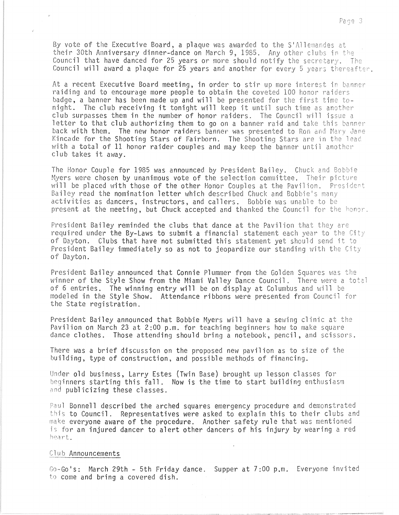By vote of the Executive Board, a plaque was awarded to the S'Allemandes at their 30th Anniversary dinner-dance on March 9, 1985. Any other clubs in the Council that have danced for 25 years or more should notify the secretary. The Council will award a plaque for 25 years and another for every 5 years thereafter.

At a recent Executive Board meeting, in order to stir up more interest in banner raiding and to encourage more people to obtain the coveted 100 honor raiders badge, a banner has been made up and will be presented for the first time tobauge, a banner has been made up and with be presented for the first time to-<br>night. The club receiving it tonight will keep it until such time as another club surpasses them in the number of honor raiders. The Council will issue a letter to that club authorizing them to go on a banner raid and take this banner back with them. The new honor raiders banner was presented to Ron and Mary Jane Kincade for the Shooting Stars of Fairborn. The Shooting Stars are in the lead with a total of  $11$  honor raider couples and may keep the banner until another club takes it away.

The Honor Couple for 1985 was announced by President Bailey. Chuck and Bobbie Myers were chosen by unanimous vote of the selection committee. Their picture will be placed with those of the other Honor Couples at the Pavilion. President Bailey read the nomination letter which described Chuck and Bobbie's many activities as dancers, instructors, and callers. Bobbie was unable to be present at the meeting, but Chuck accepted and thanked the Council for the honor.

President Bailey reminded the clubs that dance at the Pavilion that they are required under the By-Laws to submit a financial statement each year to the City of Dayton. Clubs that have not submitted this statement yet should send it to President Bailey immediately so as not to jeopardize our standing with the City of Dayton.

President Bailey announced that Connie Plummer from the Golden Squares was the winner of the Style Show from the Miami Valley Dance Council. There were a total of 6 entries. The winning entry will be on display at Columbus and will be modeled in the Style Show. Attendance ribbons were presented from Council for the State registration.

President Bailey announced that Bobbie Myers will have a sewing clinic at the Pavilion on March 23 at 2:00 p.m. for teaching beginners how to make square dance clothes. Those attending should bring a notebook, pencil, and scissors.

There was a brief discussion on the proposed new pavilion as to size of t building, type of construction, and possible methods of financing.

Under old business, Larry Estes (Twin Base) brought up lesson classes for beginners starting this fall. Now is the time to start building enthusiasm and publicizing these classes.

Paul Bonnell described the arched squares emergency procedure and demonstrated this to Council. Representatives were asked to explain this to their clubs and make everyone aware of the procedure. Another safety rule that was mentioned is for an injured dancer to alert other dancers of his injury by wearing a red heart.

## Club Announcements

Go-Go's: March 29th - 5th Friday dance. Supper at 7:00 p.m. Everyone invited to come and bring a covered dish.